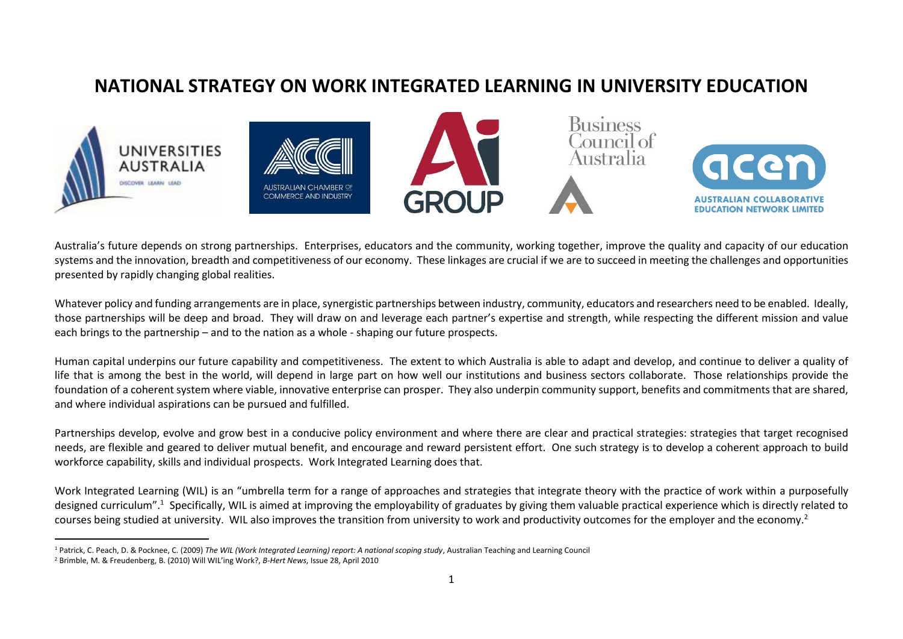### **NATIONAL STRATEGY ON WORK INTEGRATED LEARNING IN UNIVERSITY EDUCATION**



Australia's future depends on strong partnerships. Enterprises, educators and the community, working together, improve the quality and capacity of our education systems and the innovation, breadth and competitiveness of our economy. These linkages are crucial if we are to succeed in meeting the challenges and opportunities presented by rapidly changing global realities.

Whatever policy and funding arrangements are in place, synergistic partnerships between industry, community, educators and researchers need to be enabled. Ideally, those partnerships will be deep and broad. They will draw on and leverage each partner's expertise and strength, while respecting the different mission and value each brings to the partnership – and to the nation as a whole - shaping our future prospects.

Human capital underpins our future capability and competitiveness. The extent to which Australia is able to adapt and develop, and continue to deliver a quality of life that is among the best in the world, will depend in large part on how well our institutions and business sectors collaborate. Those relationships provide the foundation of a coherent system where viable, innovative enterprise can prosper. They also underpin community support, benefits and commitments that are shared, and where individual aspirations can be pursued and fulfilled.

Partnerships develop, evolve and grow best in a conducive policy environment and where there are clear and practical strategies: strategies that target recognised needs, are flexible and geared to deliver mutual benefit, and encourage and reward persistent effort. One such strategy is to develop a coherent approach to build workforce capability, skills and individual prospects. Work Integrated Learning does that.

Work Integrated Learning (WIL) is an "umbrella term for a range of approaches and strategies that integrate theory with the practice of work within a purposefully designed curriculum".<sup>1</sup> Specifically, WIL is aimed at improving the employability of graduates by giving them valuable practical experience which is directly related to courses being studied at university. WIL also improves the transition from university to work and productivity outcomes for the employer and the economy.<sup>2</sup>

 $\overline{\phantom{a}}$ 

<sup>1</sup> Patrick, C. Peach, D. & Pocknee, C. (2009) *The WIL (Work Integrated Learning) report: A national scoping study*, Australian Teaching and Learning Council

<sup>2</sup> Brimble, M. & Freudenberg, B. (2010) Will WIL'ing Work?, *B-Hert News*, Issue 28, April 2010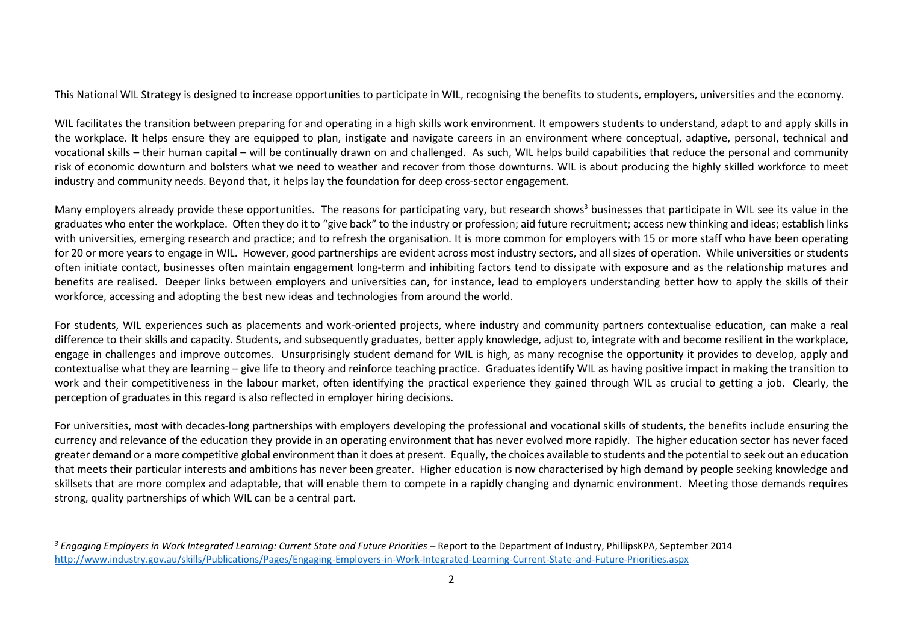This National WIL Strategy is designed to increase opportunities to participate in WIL, recognising the benefits to students, employers, universities and the economy.

WIL facilitates the transition between preparing for and operating in a high skills work environment. It empowers students to understand, adapt to and apply skills in the workplace. It helps ensure they are equipped to plan, instigate and navigate careers in an environment where conceptual, adaptive, personal, technical and vocational skills – their human capital – will be continually drawn on and challenged. As such, WIL helps build capabilities that reduce the personal and community risk of economic downturn and bolsters what we need to weather and recover from those downturns. WIL is about producing the highly skilled workforce to meet industry and community needs. Beyond that, it helps lay the foundation for deep cross-sector engagement.

Many employers already provide these opportunities. The reasons for participating vary, but research shows<sup>3</sup> businesses that participate in WIL see its value in the graduates who enter the workplace. Often they do it to "give back" to the industry or profession; aid future recruitment; access new thinking and ideas; establish links with universities, emerging research and practice; and to refresh the organisation. It is more common for employers with 15 or more staff who have been operating for 20 or more years to engage in WIL. However, good partnerships are evident across most industry sectors, and all sizes of operation. While universities or students often initiate contact, businesses often maintain engagement long-term and inhibiting factors tend to dissipate with exposure and as the relationship matures and benefits are realised. Deeper links between employers and universities can, for instance, lead to employers understanding better how to apply the skills of their workforce, accessing and adopting the best new ideas and technologies from around the world.

For students, WIL experiences such as placements and work-oriented projects, where industry and community partners contextualise education, can make a real difference to their skills and capacity. Students, and subsequently graduates, better apply knowledge, adjust to, integrate with and become resilient in the workplace, engage in challenges and improve outcomes. Unsurprisingly student demand for WIL is high, as many recognise the opportunity it provides to develop, apply and contextualise what they are learning – give life to theory and reinforce teaching practice. Graduates identify WIL as having positive impact in making the transition to work and their competitiveness in the labour market, often identifying the practical experience they gained through WIL as crucial to getting a job. Clearly, the perception of graduates in this regard is also reflected in employer hiring decisions.

For universities, most with decades-long partnerships with employers developing the professional and vocational skills of students, the benefits include ensuring the currency and relevance of the education they provide in an operating environment that has never evolved more rapidly. The higher education sector has never faced greater demand or a more competitive global environment than it does at present. Equally, the choices available to students and the potential to seek out an education that meets their particular interests and ambitions has never been greater. Higher education is now characterised by high demand by people seeking knowledge and skillsets that are more complex and adaptable, that will enable them to compete in a rapidly changing and dynamic environment. Meeting those demands requires strong, quality partnerships of which WIL can be a central part.

 $\overline{\phantom{a}}$ 

*<sup>3</sup> Engaging Employers in Work Integrated Learning: Current State and Future Priorities* – Report to the Department of Industry, PhillipsKPA, September 2014 <http://www.industry.gov.au/skills/Publications/Pages/Engaging-Employers-in-Work-Integrated-Learning-Current-State-and-Future-Priorities.aspx>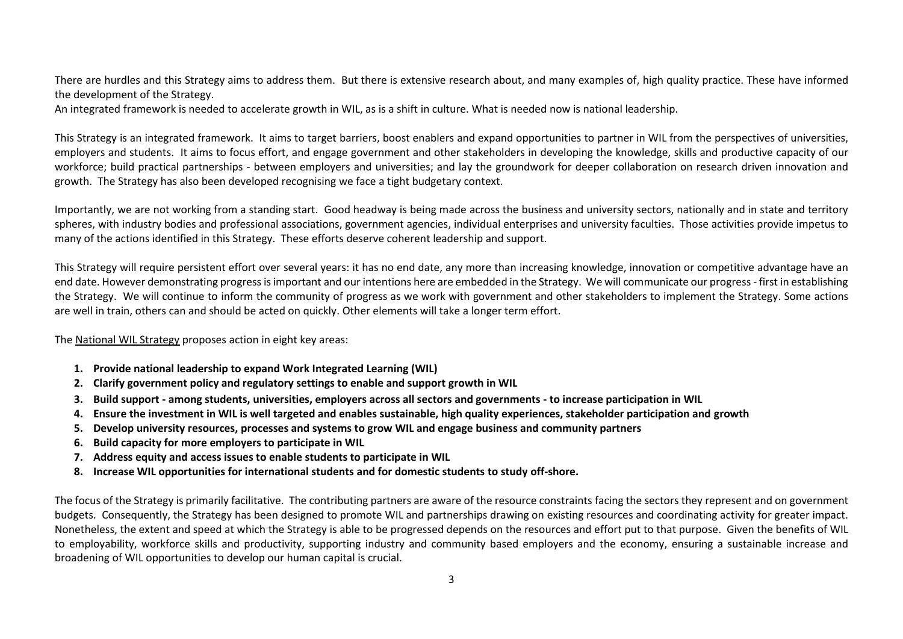There are hurdles and this Strategy aims to address them. But there is extensive research about, and many examples of, high quality practice. These have informed the development of the Strategy.

An integrated framework is needed to accelerate growth in WIL, as is a shift in culture. What is needed now is national leadership.

This Strategy is an integrated framework. It aims to target barriers, boost enablers and expand opportunities to partner in WIL from the perspectives of universities, employers and students. It aims to focus effort, and engage government and other stakeholders in developing the knowledge, skills and productive capacity of our workforce; build practical partnerships - between employers and universities; and lay the groundwork for deeper collaboration on research driven innovation and growth. The Strategy has also been developed recognising we face a tight budgetary context.

Importantly, we are not working from a standing start. Good headway is being made across the business and university sectors, nationally and in state and territory spheres, with industry bodies and professional associations, government agencies, individual enterprises and university faculties. Those activities provide impetus to many of the actions identified in this Strategy. These efforts deserve coherent leadership and support.

This Strategy will require persistent effort over several years: it has no end date, any more than increasing knowledge, innovation or competitive advantage have an end date. However demonstrating progress is important and our intentions here are embedded in the Strategy. We will communicate our progress- first in establishing the Strategy. We will continue to inform the community of progress as we work with government and other stakeholders to implement the Strategy. Some actions are well in train, others can and should be acted on quickly. Other elements will take a longer term effort.

#### The National WIL Strategy proposes action in eight key areas:

- **1. Provide national leadership to expand Work Integrated Learning (WIL)**
- **2. Clarify government policy and regulatory settings to enable and support growth in WIL**
- **3. Build support - among students, universities, employers across all sectors and governments - to increase participation in WIL**
- **4. Ensure the investment in WIL is well targeted and enables sustainable, high quality experiences, stakeholder participation and growth**
- **5. Develop university resources, processes and systems to grow WIL and engage business and community partners**
- **6. Build capacity for more employers to participate in WIL**
- **7. Address equity and access issues to enable students to participate in WIL**
- **8. Increase WIL opportunities for international students and for domestic students to study off-shore.**

The focus of the Strategy is primarily facilitative. The contributing partners are aware of the resource constraints facing the sectors they represent and on government budgets. Consequently, the Strategy has been designed to promote WIL and partnerships drawing on existing resources and coordinating activity for greater impact. Nonetheless, the extent and speed at which the Strategy is able to be progressed depends on the resources and effort put to that purpose. Given the benefits of WIL to employability, workforce skills and productivity, supporting industry and community based employers and the economy, ensuring a sustainable increase and broadening of WIL opportunities to develop our human capital is crucial.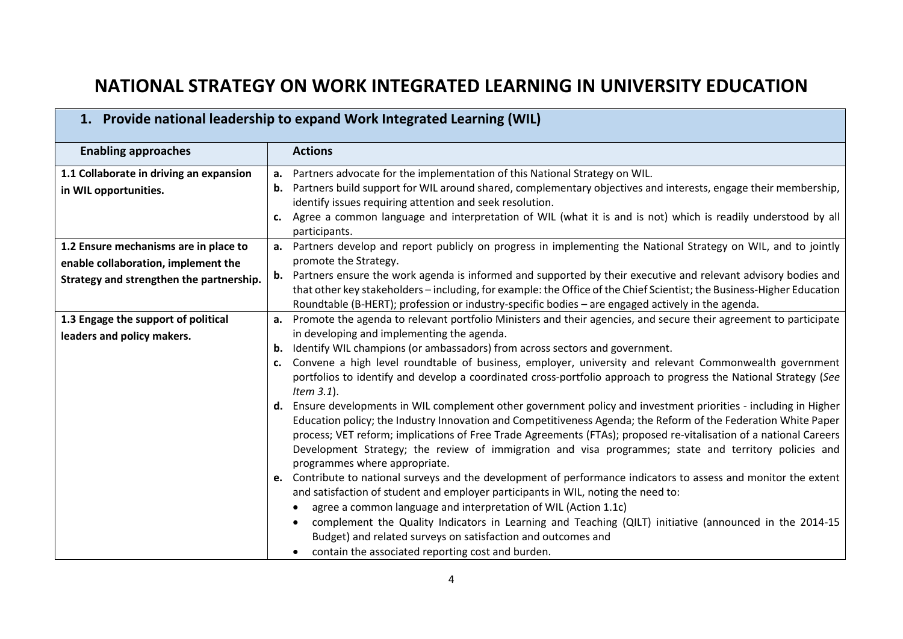## **NATIONAL STRATEGY ON WORK INTEGRATED LEARNING IN UNIVERSITY EDUCATION**

 $\blacksquare$ 

<u> 1989 - Andrea Santa Andrea Andrea Andrea Andrea Andrea Andrea Andrea Andrea Andrea Andrea Andrea Andrea Andr</u>

|                                          | 1. Provide national leadership to expand Work Integrated Learning (WIL)                                                                                                          |
|------------------------------------------|----------------------------------------------------------------------------------------------------------------------------------------------------------------------------------|
| <b>Enabling approaches</b>               | <b>Actions</b>                                                                                                                                                                   |
| 1.1 Collaborate in driving an expansion  | Partners advocate for the implementation of this National Strategy on WIL.<br>а.                                                                                                 |
| in WIL opportunities.                    | Partners build support for WIL around shared, complementary objectives and interests, engage their membership,<br>b.<br>identify issues requiring attention and seek resolution. |
|                                          | Agree a common language and interpretation of WIL (what it is and is not) which is readily understood by all<br>c.<br>participants.                                              |
| 1.2 Ensure mechanisms are in place to    | Partners develop and report publicly on progress in implementing the National Strategy on WIL, and to jointly<br>а.                                                              |
| enable collaboration, implement the      | promote the Strategy.                                                                                                                                                            |
| Strategy and strengthen the partnership. | Partners ensure the work agenda is informed and supported by their executive and relevant advisory bodies and<br>b.                                                              |
|                                          | that other key stakeholders - including, for example: the Office of the Chief Scientist; the Business-Higher Education                                                           |
|                                          | Roundtable (B-HERT); profession or industry-specific bodies - are engaged actively in the agenda.                                                                                |
| 1.3 Engage the support of political      | Promote the agenda to relevant portfolio Ministers and their agencies, and secure their agreement to participate<br>а.<br>in developing and implementing the agenda.             |
| leaders and policy makers.               | Identify WIL champions (or ambassadors) from across sectors and government.<br>b.                                                                                                |
|                                          | Convene a high level roundtable of business, employer, university and relevant Commonwealth government<br>c.                                                                     |
|                                          | portfolios to identify and develop a coordinated cross-portfolio approach to progress the National Strategy (See<br>Item $3.1$ ).                                                |
|                                          | Ensure developments in WIL complement other government policy and investment priorities - including in Higher<br>d.                                                              |
|                                          | Education policy; the Industry Innovation and Competitiveness Agenda; the Reform of the Federation White Paper                                                                   |
|                                          | process; VET reform; implications of Free Trade Agreements (FTAs); proposed re-vitalisation of a national Careers                                                                |
|                                          | Development Strategy; the review of immigration and visa programmes; state and territory policies and<br>programmes where appropriate.                                           |
|                                          | e. Contribute to national surveys and the development of performance indicators to assess and monitor the extent                                                                 |
|                                          | and satisfaction of student and employer participants in WIL, noting the need to:                                                                                                |
|                                          | agree a common language and interpretation of WIL (Action 1.1c)                                                                                                                  |
|                                          | complement the Quality Indicators in Learning and Teaching (QILT) initiative (announced in the 2014-15                                                                           |
|                                          | Budget) and related surveys on satisfaction and outcomes and                                                                                                                     |
|                                          | contain the associated reporting cost and burden.                                                                                                                                |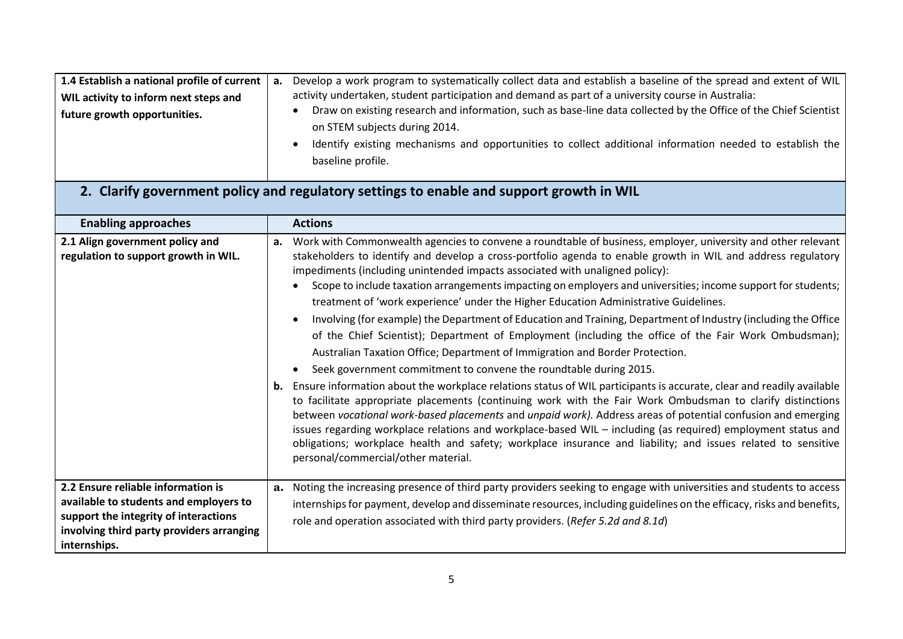| 1.4 Establish a national profile of current $ a$ . | Develop a work program to systematically collect data and establish a baseline of the spread and extent of WIL   |
|----------------------------------------------------|------------------------------------------------------------------------------------------------------------------|
| WIL activity to inform next steps and              | activity undertaken, student participation and demand as part of a university course in Australia:               |
| future growth opportunities.                       | Draw on existing research and information, such as base-line data collected by the Office of the Chief Scientist |
|                                                    | on STEM subjects during 2014.                                                                                    |
|                                                    | Identify existing mechanisms and opportunities to collect additional information needed to establish the         |
|                                                    | baseline profile.                                                                                                |

# **2. Clarify government policy and regulatory settings to enable and support growth in WIL**

| <b>Enabling approaches</b>                                                                                                                                                         |          | <b>Actions</b>                                                                                                                                                                                                                                                                                                                                                                                                                                                                                                                                                                                                                                                                                                                                                                                                                                                                                                                                                                                                                                                                                                                                                                                                                                                                                                                                                                                                                                                                                                                   |
|------------------------------------------------------------------------------------------------------------------------------------------------------------------------------------|----------|----------------------------------------------------------------------------------------------------------------------------------------------------------------------------------------------------------------------------------------------------------------------------------------------------------------------------------------------------------------------------------------------------------------------------------------------------------------------------------------------------------------------------------------------------------------------------------------------------------------------------------------------------------------------------------------------------------------------------------------------------------------------------------------------------------------------------------------------------------------------------------------------------------------------------------------------------------------------------------------------------------------------------------------------------------------------------------------------------------------------------------------------------------------------------------------------------------------------------------------------------------------------------------------------------------------------------------------------------------------------------------------------------------------------------------------------------------------------------------------------------------------------------------|
| 2.1 Align government policy and<br>regulation to support growth in WIL.                                                                                                            | а.<br>b. | Work with Commonwealth agencies to convene a roundtable of business, employer, university and other relevant<br>stakeholders to identify and develop a cross-portfolio agenda to enable growth in WIL and address regulatory<br>impediments (including unintended impacts associated with unaligned policy):<br>Scope to include taxation arrangements impacting on employers and universities; income support for students;<br>treatment of 'work experience' under the Higher Education Administrative Guidelines.<br>Involving (for example) the Department of Education and Training, Department of Industry (including the Office<br>of the Chief Scientist); Department of Employment (including the office of the Fair Work Ombudsman);<br>Australian Taxation Office; Department of Immigration and Border Protection.<br>Seek government commitment to convene the roundtable during 2015.<br>Ensure information about the workplace relations status of WIL participants is accurate, clear and readily available<br>to facilitate appropriate placements (continuing work with the Fair Work Ombudsman to clarify distinctions<br>between vocational work-based placements and unpaid work). Address areas of potential confusion and emerging<br>issues regarding workplace relations and workplace-based WIL - including (as required) employment status and<br>obligations; workplace health and safety; workplace insurance and liability; and issues related to sensitive<br>personal/commercial/other material. |
| 2.2 Ensure reliable information is<br>available to students and employers to<br>support the integrity of interactions<br>involving third party providers arranging<br>internships. | а.       | Noting the increasing presence of third party providers seeking to engage with universities and students to access<br>internships for payment, develop and disseminate resources, including guidelines on the efficacy, risks and benefits,<br>role and operation associated with third party providers. (Refer 5.2d and 8.1d)                                                                                                                                                                                                                                                                                                                                                                                                                                                                                                                                                                                                                                                                                                                                                                                                                                                                                                                                                                                                                                                                                                                                                                                                   |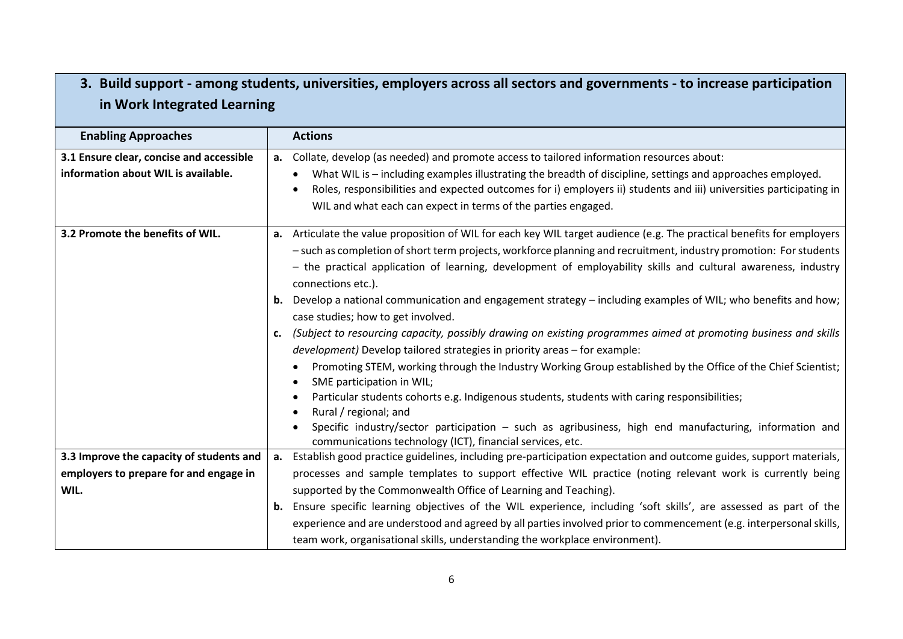### **3. Build support - among students, universities, employers across all sectors and governments - to increase participation in Work Integrated Learning**

| <b>Enabling Approaches</b>               |    | <b>Actions</b>                                                                                                                                              |
|------------------------------------------|----|-------------------------------------------------------------------------------------------------------------------------------------------------------------|
| 3.1 Ensure clear, concise and accessible | a. | Collate, develop (as needed) and promote access to tailored information resources about:                                                                    |
| information about WIL is available.      |    | What WIL is - including examples illustrating the breadth of discipline, settings and approaches employed.                                                  |
|                                          |    | Roles, responsibilities and expected outcomes for i) employers ii) students and iii) universities participating in                                          |
|                                          |    | WIL and what each can expect in terms of the parties engaged.                                                                                               |
| 3.2 Promote the benefits of WIL.         |    | a. Articulate the value proposition of WIL for each key WIL target audience (e.g. The practical benefits for employers                                      |
|                                          |    | - such as completion of short term projects, workforce planning and recruitment, industry promotion: For students                                           |
|                                          |    | - the practical application of learning, development of employability skills and cultural awareness, industry<br>connections etc.).                         |
|                                          |    | <b>b.</b> Develop a national communication and engagement strategy – including examples of WIL; who benefits and how;<br>case studies; how to get involved. |
|                                          | c. | (Subject to resourcing capacity, possibly drawing on existing programmes aimed at promoting business and skills                                             |
|                                          |    | development) Develop tailored strategies in priority areas - for example:                                                                                   |
|                                          |    | Promoting STEM, working through the Industry Working Group established by the Office of the Chief Scientist;                                                |
|                                          |    | SME participation in WIL;                                                                                                                                   |
|                                          |    | Particular students cohorts e.g. Indigenous students, students with caring responsibilities;<br>Rural / regional; and                                       |
|                                          |    | Specific industry/sector participation - such as agribusiness, high end manufacturing, information and                                                      |
|                                          |    | communications technology (ICT), financial services, etc.                                                                                                   |
| 3.3 Improve the capacity of students and | а. | Establish good practice guidelines, including pre-participation expectation and outcome guides, support materials,                                          |
| employers to prepare for and engage in   |    | processes and sample templates to support effective WIL practice (noting relevant work is currently being                                                   |
| WIL.                                     |    | supported by the Commonwealth Office of Learning and Teaching).                                                                                             |
|                                          | b. | Ensure specific learning objectives of the WIL experience, including 'soft skills', are assessed as part of the                                             |
|                                          |    | experience and are understood and agreed by all parties involved prior to commencement (e.g. interpersonal skills,                                          |
|                                          |    | team work, organisational skills, understanding the workplace environment).                                                                                 |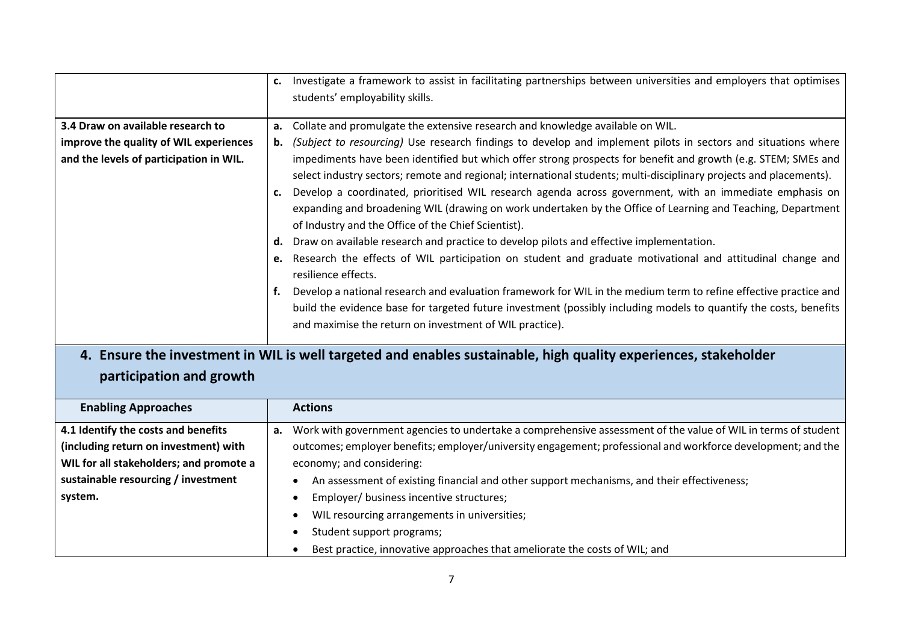|                                         | c.       | Investigate a framework to assist in facilitating partnerships between universities and employers that optimises<br>students' employability skills.                                                                                                                                                                                                                                                                                                                                                                                                                                                                                                                                                                                                                                                                                                                                                                                                                                                                                                     |
|-----------------------------------------|----------|---------------------------------------------------------------------------------------------------------------------------------------------------------------------------------------------------------------------------------------------------------------------------------------------------------------------------------------------------------------------------------------------------------------------------------------------------------------------------------------------------------------------------------------------------------------------------------------------------------------------------------------------------------------------------------------------------------------------------------------------------------------------------------------------------------------------------------------------------------------------------------------------------------------------------------------------------------------------------------------------------------------------------------------------------------|
| 3.4 Draw on available research to       | а.       | Collate and promulgate the extensive research and knowledge available on WIL.                                                                                                                                                                                                                                                                                                                                                                                                                                                                                                                                                                                                                                                                                                                                                                                                                                                                                                                                                                           |
| improve the quality of WIL experiences  |          | <b>b.</b> (Subject to resourcing) Use research findings to develop and implement pilots in sectors and situations where                                                                                                                                                                                                                                                                                                                                                                                                                                                                                                                                                                                                                                                                                                                                                                                                                                                                                                                                 |
| and the levels of participation in WIL. | d.<br>e. | impediments have been identified but which offer strong prospects for benefit and growth (e.g. STEM; SMEs and<br>select industry sectors; remote and regional; international students; multi-disciplinary projects and placements).<br>Develop a coordinated, prioritised WIL research agenda across government, with an immediate emphasis on<br>expanding and broadening WIL (drawing on work undertaken by the Office of Learning and Teaching, Department<br>of Industry and the Office of the Chief Scientist).<br>Draw on available research and practice to develop pilots and effective implementation.<br>Research the effects of WIL participation on student and graduate motivational and attitudinal change and<br>resilience effects.<br>Develop a national research and evaluation framework for WIL in the medium term to refine effective practice and<br>build the evidence base for targeted future investment (possibly including models to quantify the costs, benefits<br>and maximise the return on investment of WIL practice). |

# **4. Ensure the investment in WIL is well targeted and enables sustainable, high quality experiences, stakeholder**

#### **participation and growth**

| <b>Enabling Approaches</b>              |    | <b>Actions</b>                                                                                                |
|-----------------------------------------|----|---------------------------------------------------------------------------------------------------------------|
| 4.1 Identify the costs and benefits     | а. | Work with government agencies to undertake a comprehensive assessment of the value of WIL in terms of student |
| (including return on investment) with   |    | outcomes; employer benefits; employer/university engagement; professional and workforce development; and the  |
| WIL for all stakeholders; and promote a |    | economy; and considering:                                                                                     |
| sustainable resourcing / investment     |    | An assessment of existing financial and other support mechanisms, and their effectiveness;<br>٠               |
| system.                                 |    | Employer/ business incentive structures;<br>٠                                                                 |
|                                         |    | WIL resourcing arrangements in universities;<br>$\bullet$                                                     |
|                                         |    | Student support programs;<br>$\bullet$                                                                        |
|                                         |    | Best practice, innovative approaches that ameliorate the costs of WIL; and<br>$\bullet$                       |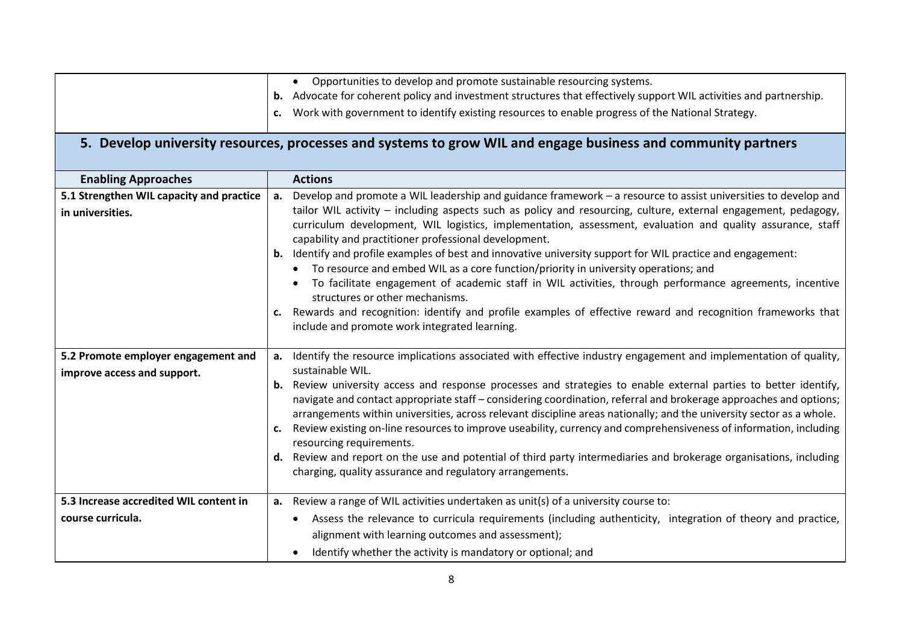|                                                                    |    | • Opportunities to develop and promote sustainable resourcing systems.                                                                                                                                                                                                                                                                                                                               |
|--------------------------------------------------------------------|----|------------------------------------------------------------------------------------------------------------------------------------------------------------------------------------------------------------------------------------------------------------------------------------------------------------------------------------------------------------------------------------------------------|
|                                                                    |    | b. Advocate for coherent policy and investment structures that effectively support WIL activities and partnership.                                                                                                                                                                                                                                                                                   |
|                                                                    | c. | Work with government to identify existing resources to enable progress of the National Strategy.                                                                                                                                                                                                                                                                                                     |
|                                                                    |    | 5. Develop university resources, processes and systems to grow WIL and engage business and community partners                                                                                                                                                                                                                                                                                        |
| <b>Enabling Approaches</b>                                         |    | <b>Actions</b>                                                                                                                                                                                                                                                                                                                                                                                       |
| 5.1 Strengthen WIL capacity and practice                           |    | a. Develop and promote a WIL leadership and guidance framework - a resource to assist universities to develop and                                                                                                                                                                                                                                                                                    |
| in universities.                                                   |    | tailor WIL activity - including aspects such as policy and resourcing, culture, external engagement, pedagogy,<br>curriculum development, WIL logistics, implementation, assessment, evaluation and quality assurance, staff<br>capability and practitioner professional development.<br>b. Identify and profile examples of best and innovative university support for WIL practice and engagement: |
|                                                                    |    | • To resource and embed WIL as a core function/priority in university operations; and                                                                                                                                                                                                                                                                                                                |
|                                                                    |    | To facilitate engagement of academic staff in WIL activities, through performance agreements, incentive<br>structures or other mechanisms.                                                                                                                                                                                                                                                           |
|                                                                    |    | Rewards and recognition: identify and profile examples of effective reward and recognition frameworks that<br>include and promote work integrated learning.                                                                                                                                                                                                                                          |
| 5.2 Promote employer engagement and<br>improve access and support. | a. | Identify the resource implications associated with effective industry engagement and implementation of quality,<br>sustainable WIL.                                                                                                                                                                                                                                                                  |
|                                                                    |    | <b>b.</b> Review university access and response processes and strategies to enable external parties to better identify,<br>navigate and contact appropriate staff - considering coordination, referral and brokerage approaches and options;<br>arrangements within universities, across relevant discipline areas nationally; and the university sector as a whole.                                 |
|                                                                    | c. | Review existing on-line resources to improve useability, currency and comprehensiveness of information, including<br>resourcing requirements.                                                                                                                                                                                                                                                        |
|                                                                    |    | d. Review and report on the use and potential of third party intermediaries and brokerage organisations, including<br>charging, quality assurance and regulatory arrangements.                                                                                                                                                                                                                       |
| 5.3 Increase accredited WIL content in                             | а. | Review a range of WIL activities undertaken as unit(s) of a university course to:                                                                                                                                                                                                                                                                                                                    |
| course curricula.                                                  |    | Assess the relevance to curricula requirements (including authenticity, integration of theory and practice,                                                                                                                                                                                                                                                                                          |
|                                                                    |    | alignment with learning outcomes and assessment);                                                                                                                                                                                                                                                                                                                                                    |
|                                                                    |    | Identify whether the activity is mandatory or optional; and                                                                                                                                                                                                                                                                                                                                          |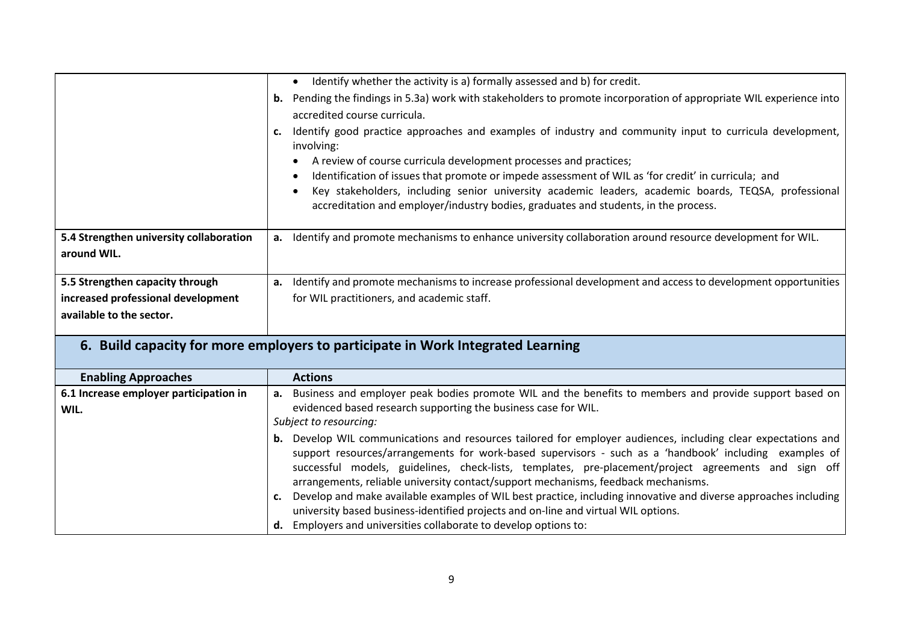|                                         | Identify whether the activity is a) formally assessed and b) for credit.                                                                                                                    |
|-----------------------------------------|---------------------------------------------------------------------------------------------------------------------------------------------------------------------------------------------|
|                                         | Pending the findings in 5.3a) work with stakeholders to promote incorporation of appropriate WIL experience into<br>b.                                                                      |
|                                         | accredited course curricula.                                                                                                                                                                |
|                                         | Identify good practice approaches and examples of industry and community input to curricula development,<br>involving:                                                                      |
|                                         | A review of course curricula development processes and practices;                                                                                                                           |
|                                         | Identification of issues that promote or impede assessment of WIL as 'for credit' in curricula; and                                                                                         |
|                                         | Key stakeholders, including senior university academic leaders, academic boards, TEQSA, professional<br>accreditation and employer/industry bodies, graduates and students, in the process. |
| 5.4 Strengthen university collaboration | Identify and promote mechanisms to enhance university collaboration around resource development for WIL.<br>а.                                                                              |
| around WIL.                             |                                                                                                                                                                                             |
|                                         |                                                                                                                                                                                             |
| 5.5 Strengthen capacity through         | Identify and promote mechanisms to increase professional development and access to development opportunities<br>а.                                                                          |
| increased professional development      | for WIL practitioners, and academic staff.                                                                                                                                                  |
| available to the sector.                |                                                                                                                                                                                             |
|                                         |                                                                                                                                                                                             |
|                                         | 6. Build capacity for more employers to participate in Work Integrated Learning                                                                                                             |

| <b>Enabling Approaches</b>             | <b>Actions</b>                                                                                                                                                                                                                                                                                       |
|----------------------------------------|------------------------------------------------------------------------------------------------------------------------------------------------------------------------------------------------------------------------------------------------------------------------------------------------------|
| 6.1 Increase employer participation in | Business and employer peak bodies promote WIL and the benefits to members and provide support based on<br>а.                                                                                                                                                                                         |
| WIL.                                   | evidenced based research supporting the business case for WIL.                                                                                                                                                                                                                                       |
|                                        | Subject to resourcing:                                                                                                                                                                                                                                                                               |
|                                        | Develop WIL communications and resources tailored for employer audiences, including clear expectations and                                                                                                                                                                                           |
|                                        | support resources/arrangements for work-based supervisors - such as a 'handbook' including examples of<br>successful models, guidelines, check-lists, templates, pre-placement/project agreements and sign off<br>arrangements, reliable university contact/support mechanisms, feedback mechanisms. |
|                                        | Develop and make available examples of WIL best practice, including innovative and diverse approaches including                                                                                                                                                                                      |
|                                        | university based business-identified projects and on-line and virtual WIL options.                                                                                                                                                                                                                   |
|                                        | Employers and universities collaborate to develop options to:                                                                                                                                                                                                                                        |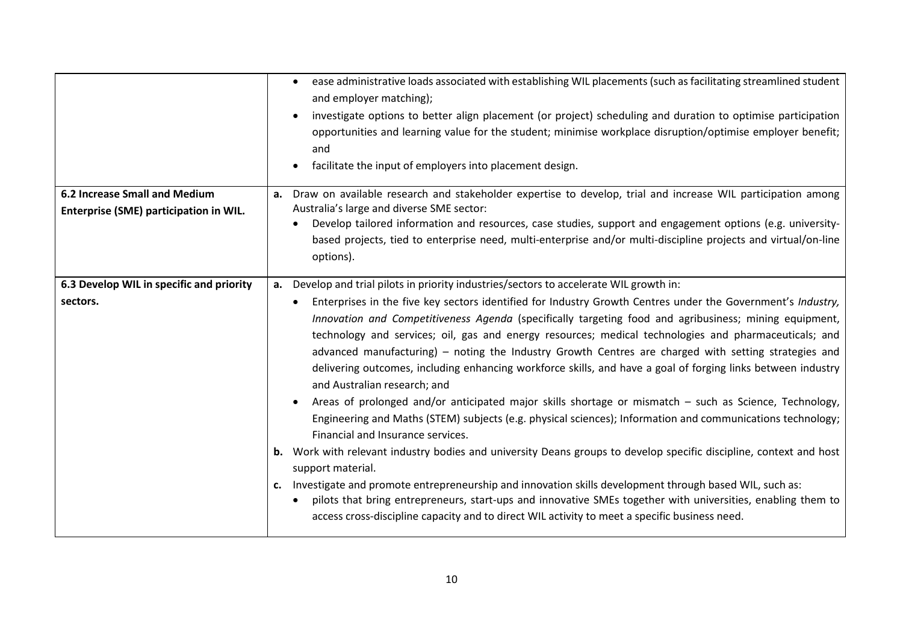|                                                                                | ease administrative loads associated with establishing WIL placements (such as facilitating streamlined student<br>and employer matching);<br>investigate options to better align placement (or project) scheduling and duration to optimise participation<br>opportunities and learning value for the student; minimise workplace disruption/optimise employer benefit;<br>and<br>facilitate the input of employers into placement design.                                                                                                                                                                                                                                                                                                                                                                                                                                                                                                                                                                                                                                                                           |
|--------------------------------------------------------------------------------|-----------------------------------------------------------------------------------------------------------------------------------------------------------------------------------------------------------------------------------------------------------------------------------------------------------------------------------------------------------------------------------------------------------------------------------------------------------------------------------------------------------------------------------------------------------------------------------------------------------------------------------------------------------------------------------------------------------------------------------------------------------------------------------------------------------------------------------------------------------------------------------------------------------------------------------------------------------------------------------------------------------------------------------------------------------------------------------------------------------------------|
| <b>6.2 Increase Small and Medium</b><br>Enterprise (SME) participation in WIL. | Draw on available research and stakeholder expertise to develop, trial and increase WIL participation among<br>а.<br>Australia's large and diverse SME sector:                                                                                                                                                                                                                                                                                                                                                                                                                                                                                                                                                                                                                                                                                                                                                                                                                                                                                                                                                        |
|                                                                                | Develop tailored information and resources, case studies, support and engagement options (e.g. university-                                                                                                                                                                                                                                                                                                                                                                                                                                                                                                                                                                                                                                                                                                                                                                                                                                                                                                                                                                                                            |
|                                                                                | based projects, tied to enterprise need, multi-enterprise and/or multi-discipline projects and virtual/on-line<br>options).                                                                                                                                                                                                                                                                                                                                                                                                                                                                                                                                                                                                                                                                                                                                                                                                                                                                                                                                                                                           |
| 6.3 Develop WIL in specific and priority                                       | Develop and trial pilots in priority industries/sectors to accelerate WIL growth in:<br>а.                                                                                                                                                                                                                                                                                                                                                                                                                                                                                                                                                                                                                                                                                                                                                                                                                                                                                                                                                                                                                            |
| sectors.                                                                       | Enterprises in the five key sectors identified for Industry Growth Centres under the Government's Industry,<br>Innovation and Competitiveness Agenda (specifically targeting food and agribusiness; mining equipment,<br>technology and services; oil, gas and energy resources; medical technologies and pharmaceuticals; and<br>advanced manufacturing) - noting the Industry Growth Centres are charged with setting strategies and<br>delivering outcomes, including enhancing workforce skills, and have a goal of forging links between industry<br>and Australian research; and<br>Areas of prolonged and/or anticipated major skills shortage or mismatch - such as Science, Technology,<br>Engineering and Maths (STEM) subjects (e.g. physical sciences); Information and communications technology;<br>Financial and Insurance services.<br><b>b.</b> Work with relevant industry bodies and university Deans groups to develop specific discipline, context and host<br>support material.<br>Investigate and promote entrepreneurship and innovation skills development through based WIL, such as:<br>c. |
|                                                                                | pilots that bring entrepreneurs, start-ups and innovative SMEs together with universities, enabling them to<br>access cross-discipline capacity and to direct WIL activity to meet a specific business need.                                                                                                                                                                                                                                                                                                                                                                                                                                                                                                                                                                                                                                                                                                                                                                                                                                                                                                          |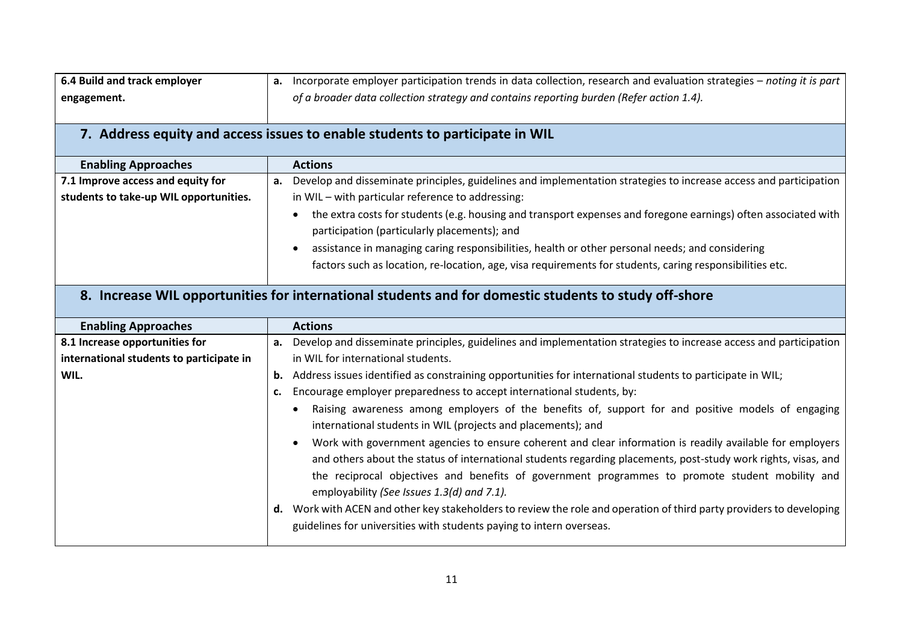| 6.4 Build and track employer | <b>a.</b> Incorporate employer participation trends in data collection, research and evaluation strategies – noting it is part $ $ |
|------------------------------|------------------------------------------------------------------------------------------------------------------------------------|
| engagement.                  | of a broader data collection strategy and contains reporting burden (Refer action 1.4).                                            |
|                              | 7. Address equity and access issues to enable students to participate in WIL                                                       |

| <b>Enabling Approaches</b>               | <b>Actions</b>                                                                                                                                                    |
|------------------------------------------|-------------------------------------------------------------------------------------------------------------------------------------------------------------------|
| 7.1 Improve access and equity for        | Develop and disseminate principles, guidelines and implementation strategies to increase access and participation<br>а.                                           |
| students to take-up WIL opportunities.   | in WIL - with particular reference to addressing:                                                                                                                 |
|                                          | the extra costs for students (e.g. housing and transport expenses and foregone earnings) often associated with<br>participation (particularly placements); and    |
|                                          | assistance in managing caring responsibilities, health or other personal needs; and considering                                                                   |
|                                          | factors such as location, re-location, age, visa requirements for students, caring responsibilities etc.                                                          |
|                                          |                                                                                                                                                                   |
|                                          | 8. Increase WIL opportunities for international students and for domestic students to study off-shore                                                             |
| <b>Enabling Approaches</b>               | <b>Actions</b>                                                                                                                                                    |
| 8.1 Increase opportunities for           | Develop and disseminate principles, guidelines and implementation strategies to increase access and participation<br>а.                                           |
| international students to participate in | in WIL for international students.                                                                                                                                |
| WIL.                                     | Address issues identified as constraining opportunities for international students to participate in WIL;<br>b.                                                   |
|                                          | Encourage employer preparedness to accept international students, by:<br>c.                                                                                       |
|                                          | Raising awareness among employers of the benefits of, support for and positive models of engaging<br>international students in WIL (projects and placements); and |

| and Uthers about the status of international students regarding placements, bost study work rights, visas, and |                                                                                                                 |  |  |
|----------------------------------------------------------------------------------------------------------------|-----------------------------------------------------------------------------------------------------------------|--|--|
|                                                                                                                | the reciprocal objectives and benefits of government programmes to promote student mobility and                 |  |  |
|                                                                                                                | employability (See Issues 1.3(d) and 7.1).                                                                      |  |  |
|                                                                                                                | Warkwith ACEN and other koustakeholders to review the role and eperation of third party providers to developing |  |  |

**d.** Work with ACEN and other key stakeholders to review the role and operation of third party providers to developing guidelines for universities with students paying to intern overseas.